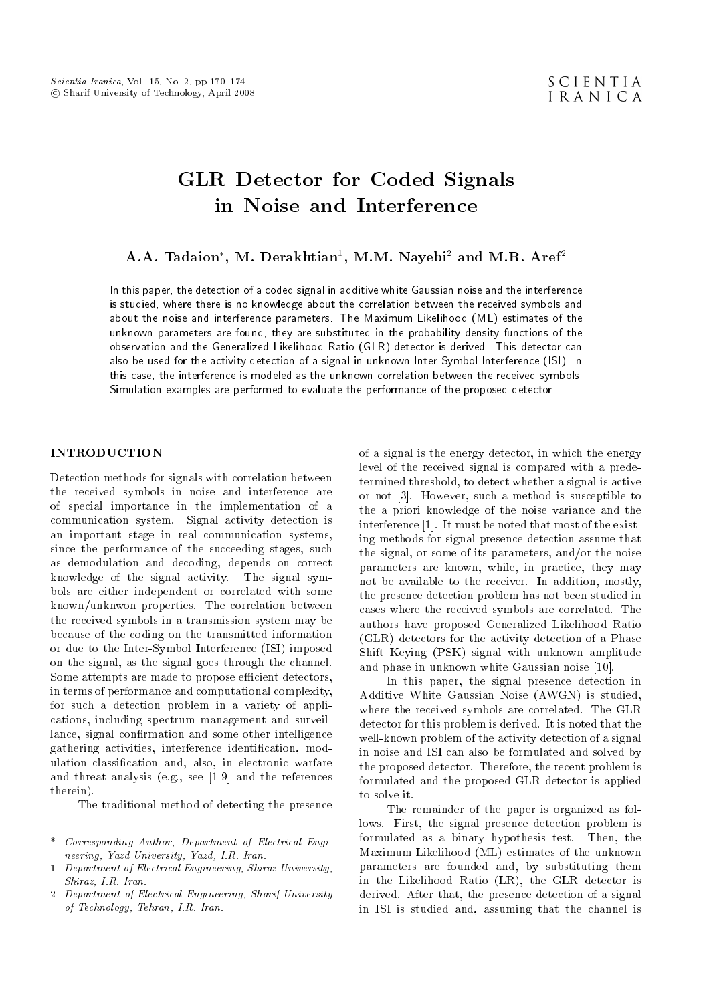# GLR Detector for Coded Signals in Noise and Interference

# $\bf{A.A.~Tadaion^*,~M.~Derakhtian^l,~M.M.~Nayebi^2~and~M.R.~Aref^2}$

In this paper, the detection of a coded signal in additive white Gaussian noise and the interference is studied, where there is no knowledge about the correlation between the received symbols and about the noise and interference parameters. The Maximum Likelihood (ML) estimates of the unknown parameters are found, they are substituted in the probability density functions of the observation and the Generalized Likelihood Ratio (GLR) detector is derived. This detector can also be used for the activity detection of a signal in unknown Inter-Symbol Interference (ISI). In this case, the interference is modeled as the unknown correlation between the received symbols. Simulation examples are performed to evaluate the performance of the proposed detector.

# INTRODUCTION

Detection methods for signals with correlation between the received symbols in noise and interference are of special importance in the implementation of a communication system. Signal activity detection is an important stage in real communication systems, since the performance of the succeeding stages, such as demodulation and decoding, depends on correct knowledge of the signal activity. The signal symbols are either independent or correlated with some known/unknwon properties. The correlation between the received symbols in a transmission system may be because of the coding on the transmitted information or due to the Inter-Symbol Interference (ISI) imposed on the signal, as the signal goes through the channel. Some attempts are made to propose efficient detectors, in terms of performance and computational complexity, for such a detection problem in a variety of applications, including spectrum management and surveillance, signal confirmation and some other intelligence gathering activities, interference identification, modulation classication and, also, in electronic warfare and threat analysis (e.g., see [1-9] and the references therein).

The traditional method of detecting the presence

of a signal is the energy detector, in which the energy level of the received signal is compared with a predetermined threshold, to detect whether a signal is active or not [3]. However, such a method is susceptible to the a priori knowledge of the noise variance and the interference [1]. It must be noted that most of the existing methods for signal presence detection assume that the signal, or some of its parameters, and/or the noise parameters are known, while, in practice, they may not be available to the receiver. In addition, mostly, the presence detection problem has not been studied in cases where the received symbols are correlated. The authors have proposed Generalized Likelihood Ratio (GLR) detectors for the activity detection of a Phase Shift Keying (PSK) signal with unknown amplitude and phase in unknown white Gaussian noise [10].

In this paper, the signal presence detection in Additive White Gaussian Noise (AWGN) is studied, where the received symbols are correlated. The GLR detector for this problem is derived. It is noted that the well-known problem of the activity detection of a signal in noise and ISI can also be formulated and solved by the proposed detector. Therefore, the recent problem is formulated and the proposed GLR detector is applied to solve it.

The remainder of the paper is organized as follows. First, the signal presence detection problem is formulated as a binary hypothesis test. Then, the Maximum Likelihood (ML) estimates of the unknown parameters are founded and, by substituting them in the Likelihood Ratio (LR), the GLR detector is derived. After that, the presence detection of a signal in ISI is studied and, assuming that the channel is

<sup>\*.</sup> Corresponding Author, Department of Electrical Engineering, Yazd University, Yazd, I.R. Iran.

<sup>1.</sup> Department of Electrical Engineering, Shiraz University, Shiraz, I.R. Iran.

<sup>2.</sup> Department of Electrical Engineering, Sharif University of Technology, Tehran, I.R. Iran.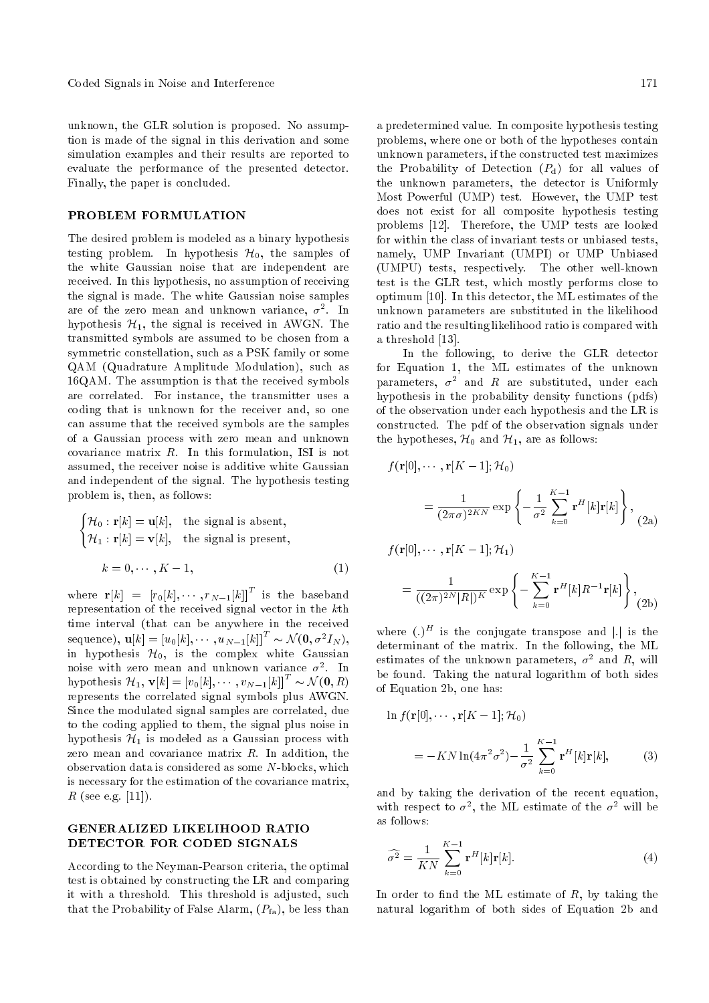unknown, the GLR solution is proposed. No assumption is made of the signal in this derivation and some simulation examples and their results are reported to evaluate the performance of the presented detector. Finally, the paper is concluded.

### PROBLEM FORMULATION

The desired problem is modeled as a binary hypothesis testing problem. In hypothesis  $\mathcal{H}_0$ , the samples of the white Gaussian noise that are independent are received. In this hypothesis, no assumption of receiving the signal is made. The white Gaussian noise samples are of the zero mean and unknown variance,  $\sigma^2$ . In hypothesis  $\mathcal{H}_1$ , the signal is received in AWGN. The transmitted symbols are assumed to be chosen from a symmetric constellation, such as a PSK family or some QAM (Quadrature Amplitude Modulation), such as 16QAM. The assumption is that the received symbols are correlated. For instance, the transmitter uses a coding that is unknown for the receiver and, so one can assume that the received symbols are the samples of a Gaussian process with zero mean and unknown covariance matrix R. In this formulation, ISI is not assumed, the receiver noise is additive white Gaussian and independent of the signal. The hypothesis testing problem is, then, as follows:

$$
\begin{cases} \mathcal{H}_0: \mathbf{r}[k] = \mathbf{u}[k], & \text{the signal is absent,} \\ \mathcal{H}_1: \mathbf{r}[k] = \mathbf{v}[k], & \text{the signal is present,} \end{cases}
$$

$$
k = 0, \dots, K - 1,
$$
 (1)

where  $\mathbf{r}[k] = [r_0[k], \cdots, r_{N-1}[k]]^T$  is the baseband representation of the received signal vector in the kth time interval (that can be anywhere in the received sequence),  $\mathbf{u}[k] = [u_0[k], \cdots, u_{N-1}[k]]^T \sim \mathcal{N}(\mathbf{0}, \sigma^2 I_N),$ in hypothesis  $\mathcal{H}_0$ , is the complex white Gaussian noise with zero mean and unknown variance  $\sigma^2$ . In hypothesis  $\mathcal{H}_1$ ,  $\mathbf{v}[k] = [v_0[k], \cdots, v_{N-1}[k]]^T \sim \mathcal{N}(\mathbf{0}, R)$ represents the correlated signal symbols plus AWGN. Since the modulated signal samples are correlated, due to the coding applied to them, the signal plus noise in hypothesis  $\mathcal{H}_1$  is modeled as a Gaussian process with zero mean and covariance matrix  $R$ . In addition, the observation data is considered as some N-blocks, which is necessary for the estimation of the covariance matrix,  $R$  (see e.g. [11]).

# GENERALIZED LIKELIHOOD RATIO DETECTOR FOR CODED SIGNALS

According to the Neyman-Pearson criteria, the optimal test is obtained by constructing the LR and comparing it with a threshold. This threshold is adjusted, such that the Probability of False Alarm,  $(P<sub>fa</sub>)$ , be less than a predetermined value. In composite hypothesis testing problems, where one or both of the hypotheses contain unknown parameters, if the constructed test maximizes the Probability of Detection  $(P_d)$  for all values of the unknown parameters, the detector is Uniformly Most Powerful (UMP) test. However, the UMP test does not exist for all composite hypothesis testing problems [12]. Therefore, the UMP tests are looked for within the class of invariant tests or unbiased tests, namely, UMP Invariant (UMPI) or UMP Unbiased (UMPU) tests, respectively. The other well-known test is the GLR test, which mostly performs close to optimum [10]. In this detector, the ML estimates of the unknown parameters are substituted in the likelihood ratio and the resulting likelihood ratio is compared with a threshold [13].

In the following, to derive the GLR detector for Equation 1, the ML estimates of the unknown parameters,  $\sigma^2$  and  $R$  are substituted, under each hypothesis in the probability density functions (pdfs) of the observation under each hypothesis and the LR is constructed. The pdf of the observation signals under the hypotheses,  $\mathcal{H}_0$  and  $\mathcal{H}_1$ , are as follows:

$$
f(\mathbf{r}[0], \cdots, \mathbf{r}[K-1]; \mathcal{H}_0)
$$
  
= 
$$
\frac{1}{(2\pi\sigma)^{2KN}} \exp\left\{-\frac{1}{\sigma^2} \sum_{k=0}^{K-1} \mathbf{r}^H[k] \mathbf{r}[k]\right\},
$$
 (2a)

$$
f(\mathbf{r}[0], \cdots, \mathbf{r}[K-1]; \mathcal{H}_1)
$$
  
= 
$$
\frac{1}{((2\pi)^{2N}|R|)^K} \exp\left\{-\sum_{k=0}^{K-1} \mathbf{r}^H[k]R^{-1}\mathbf{r}[k]\right\},
$$
(2b)

where  $(.)^H$  is the conjugate transpose and || is the determinant of the matrix. In the following, the ML estimates of the unknown parameters,  $\sigma^2$  and R, will be found. Taking the natural logarithm of both sides of Equation 2b, one has:

$$
\ln f(\mathbf{r}[0], \cdots, \mathbf{r}[K-1]; \mathcal{H}_0)
$$
  
=  $-KN \ln(4\pi^2 \sigma^2) - \frac{1}{\sigma^2} \sum_{k=0}^{K-1} \mathbf{r}^H[k] \mathbf{r}[k],$  (3)

and by taking the derivation of the recent equation, with respect to  $\sigma^2$ , the ML estimate of the  $\sigma^2$  will be as follows:

$$
\widehat{\sigma^2} = \frac{1}{KN} \sum_{k=0}^{K-1} \mathbf{r}^H[k] \mathbf{r}[k].
$$
 (4)

In order to find the ML estimate of  $R$ , by taking the natural logarithm of both sides of Equation 2b and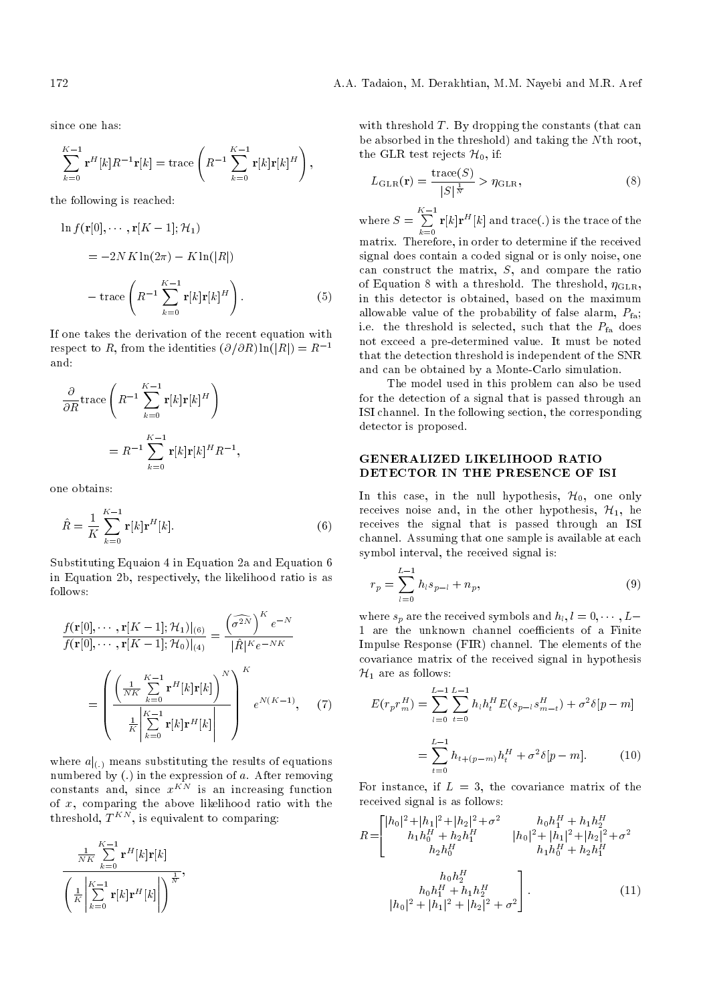since one has:

$$
\sum_{k=0}^{K-1} \mathbf{r}^H[k]R^{-1}\mathbf{r}[k] = \text{trace}\left(R^{-1}\sum_{k=0}^{K-1} \mathbf{r}[k]\mathbf{r}[k]^H\right),\,
$$

the following is reached:

$$
\ln f(\mathbf{r}[0], \cdots, \mathbf{r}[K-1]; \mathcal{H}_1)
$$
  
= -2NK ln(2\pi) - K ln(|R|)  
- trace  $\left(R^{-1} \sum_{k=0}^{K-1} \mathbf{r}[k] \mathbf{r}[k]^H\right)$ . (5)

If one takes the derivation of the recent equation with respect to R, from the identities  $(\partial/\partial R) \ln(|R|) = R^{-1}$ and:

$$
\frac{\partial}{\partial R} \operatorname{trace} \left( R^{-1} \sum_{k=0}^{K-1} \mathbf{r}[k] \mathbf{r}[k]^H \right)
$$

$$
= R^{-1} \sum_{k=0}^{K-1} \mathbf{r}[k] \mathbf{r}[k]^H R^{-1},
$$

one obtains:

$$
\hat{R} = \frac{1}{K} \sum_{k=0}^{K-1} \mathbf{r}[k] \mathbf{r}^H[k].
$$
\n(6)

Substituting Equaion 4 in Equation 2a and Equation 6 in Equation 2b, respectively, the likelihood ratio is as follows:

$$
f(\mathbf{r}[0], \cdots, \mathbf{r}[K-1]; \mathcal{H}_1)|_{(6)} = \frac{\left(\widehat{\sigma^{2N}}\right)^K e^{-N}}{|\hat{R}|^K e^{-NK}}
$$

$$
= \left(\frac{\left(\frac{1}{NK}\sum_{k=0}^{K-1} \mathbf{r}^H[k]\mathbf{r}[k]\right)^N}{\frac{1}{K}\sum_{k=0}^{K-1} \mathbf{r}[k]\mathbf{r}[k]}\right)^K e^{N(K-1)}, \quad (7)
$$

where  $a|_{(.)}$  means substituting the results of equations numbered by  $(.)$  in the expression of a. After removing constants and, since  $x^{KN}$  is an increasing function of  $x$ , comparing the above likelihood ratio with the threshold,  $T^{KN}$ , is equivalent to comparing:

$$
\frac{\frac{1}{NK}\sum\limits_{k=0}^{K-1}\mathbf{r}^{H}[k]\mathbf{r}[k]}{\left(\frac{1}{K}\middle|\sum\limits_{k=0}^{K-1}\mathbf{r}[k]\mathbf{r}^{H}[k]\middle|\right)^{\frac{1}{N}}},
$$

with threshold  $T$ . By dropping the constants (that can be absorbed in the threshold) and taking the Nth root, the GLR test rejects  $\mathcal{H}_0$ , if:

$$
L_{\rm GLR}(\mathbf{r}) = \frac{\text{trace}(S)}{|S|^{\frac{1}{N}}} > \eta_{\rm GLR},\tag{8}
$$

where  $S = \sum_{k=1}^{K-1}$  $\sum_{k=0}$  **r**[k]**r**<sup>H</sup>[k] and trace(.) is the trace of the

matrix. Therefore, in order to determine if the received signal does contain a coded signal or is only noise, one can construct the matrix, S, and compare the ratio of Equation 8 with a threshold. The threshold,  $\eta_{\text{GLR}}$ , in this detector is obtained, based on the maximum allowable value of the probability of false alarm,  $P_{fa}$ ; i.e. the threshold is selected, such that the  $P_{fa}$  does not exceed a pre-determined value. It must be noted that the detection threshold is independent of the SNR and can be obtained by a Monte-Carlo simulation.

The model used in this problem can also be used for the detection of a signal that is passed through an ISI channel. In the following section, the corresponding detector is proposed.

# GENERALIZED LIKELIHOOD RATIO DETECTOR IN THE PRESENCE OF ISI

In this case, in the null hypothesis,  $\mathcal{H}_0$ , one only receives noise and, in the other hypothesis,  $\mathcal{H}_1$ , he receives the signal that is passed through an ISI channel. Assuming that one sample is available at each symbol interval, the received signal is:

$$
r_p = \sum_{l=0}^{L-1} h_l s_{p-l} + n_p, \tag{9}
$$

where  $s_p$  are the received symbols and  $h_l, l = 0, \cdots, L-$ 1 are the unknown channel coefficients of a Finite Impulse Response (FIR) channel. The elements of the covariance matrix of the received signal in hypothesis  $\mathcal{H}_1$  are as follows:

$$
E(r_p r_m^H) = \sum_{l=0}^{L-1} \sum_{t=0}^{L-1} h_l h_t^H E(s_{p-l} s_{m-t}^H) + \sigma^2 \delta[p-m]
$$
  
= 
$$
\sum_{t=0}^{L-1} h_{t+(p-m)} h_t^H + \sigma^2 \delta[p-m].
$$
 (10)

For instance, if  $L = 3$ , the covariance matrix of the received signal is as follows:

$$
R = \begin{bmatrix} |h_0|^2 + |h_1|^2 + |h_2|^2 + \sigma^2 & h_0 h_1^H + h_1 h_2^H \\ h_1 h_0^H + h_2 h_1^H & |h_0|^2 + |h_1|^2 + |h_2|^2 + \sigma^2 \\ h_2 h_0^H & h_1 h_0^H + h_2 h_1^H \end{bmatrix}
$$

$$
h_0 h_2^H
$$

$$
h_0 h_1^H + h_1 h_2^H
$$

$$
|h_0|^2 + |h_1|^2 + |h_2|^2 + \sigma^2
$$

$$
(11)
$$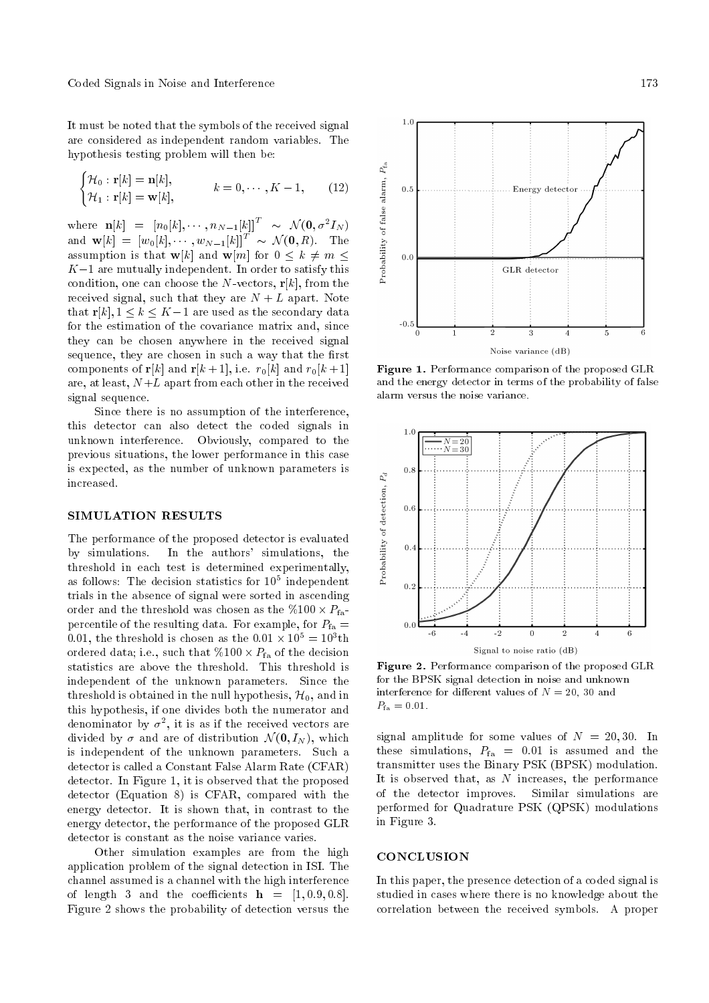It must be noted that the symbols of the received signal are considered as independent random variables. The hypothesis testing problem will then be:

$$
\begin{cases} \mathcal{H}_0: \mathbf{r}[k] = \mathbf{n}[k], \\ \mathcal{H}_1: \mathbf{r}[k] = \mathbf{w}[k], \end{cases} \qquad k = 0, \cdots, K - 1, \qquad (12)
$$

where  $\mathbf{n}[k] = [n_0[k], \cdots, n_{N-1}[k]]^T \sim \mathcal{N}(\mathbf{0}, \sigma^2 I_N)$ and  $\mathbf{w}[k] = \left[w_0[k], \cdots, w_{N-1}[k]\right]^T \sim \mathcal{N}(\mathbf{0}, R)$ . The assumption is that  $\mathbf{w}[k]$  and  $\mathbf{w}[m]$  for  $0 \leq k \neq m$  $K-1$  are mutually independent. In order to satisfy this condition, one can choose the N-vectors,  $r[k]$ , from the received signal, such that they are  $N + L$  apart. Note that  $\mathbf{r}[k], 1 \leq k \leq K-1$  are used as the secondary data for the estimation of the covariance matrix and, since they can be chosen anywhere in the received signal sequence, they are chosen in such a way that the first components of **r**[k] and **r**[k + 1], i.e.  $r_0[k]$  and  $r_0[k+1]$ are, at least,  $N+L$  apart from each other in the received signal sequence.

Since there is no assumption of the interference, this detector can also detect the coded signals in unknown interference. Obviously, compared to the previous situations, the lower performance in this case is expected, as the number of unknown parameters is increased.

## SIMULATION RESULTS

The performance of the proposed detector is evaluated by simulations. In the authors' simulations, the threshold in each test is determined experimentally, as follows: The decision statistics for  $10^5$  independent trials in the absence of signal were sorted in ascending order and the threshold was chosen as the  $\%100 \times P_{\text{fa}}$ percentile of the resulting data. For example, for  $P_{fa}$  = 0.01, the threshold is chosen as the  $0.01 \times 10^5 = 10^3$ th ordered data; i.e., such that  $\%100 \times P_{\rm fa}$  of the decision statistics are above the threshold. This threshold is independent of the unknown parameters. Since the threshold is obtained in the null hypothesis,  $\mathcal{H}_0$ , and in this hypothesis, if one divides both the numerator and denominator by  $\sigma^2$ , it is as if the received vectors are divided by  $\sigma$  and are of distribution  $\mathcal{N}(\mathbf{0}, I_N)$ , which is independent of the unknown parameters. Such a detector is called a Constant False Alarm Rate (CFAR) detector. In Figure 1, it is observed that the proposed detector (Equation 8) is CFAR, compared with the energy detector. It is shown that, in contrast to the energy detector, the performance of the proposed GLR detector is constant as the noise variance varies.

Other simulation examples are from the high application problem of the signal detection in ISI. The channel assumed is a channel with the high interference of length 3 and the coefficients  $h = [1, 0.9, 0.8]$ . Figure 2 shows the probability of detection versus the



Figure 1. Performance comparison of the proposed GLR and the energy detector in terms of the probability of false alarm versus the noise variance.



Figure 2. Performance comparison of the proposed GLR for the BPSK signal detection in noise and unknown interference for different values of  $N = 20$ , 30 and  $P_{\text{fa}} = 0.01.$ 

signal amplitude for some values of  $N = 20, 30$ . In these simulations,  $P_{fa} = 0.01$  is assumed and the transmitter uses the Binary PSK (BPSK) modulation. It is observed that, as  $N$  increases, the performance of the detector improves. Similar simulations are performed for Quadrature PSK (QPSK) modulations in Figure 3.

### **CONCLUSION**

In this paper, the presence detection of a coded signal is studied in cases where there is no knowledge about the correlation between the received symbols. A proper